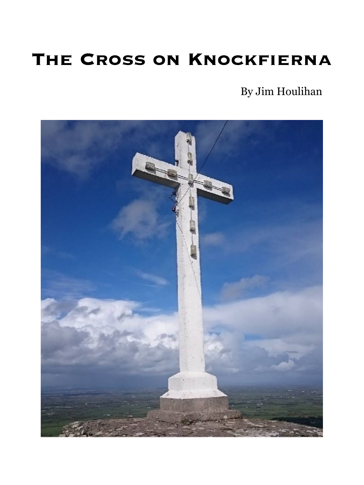## **THE CROSS ON KNOCKFIERNA**

By Jim Houlihan

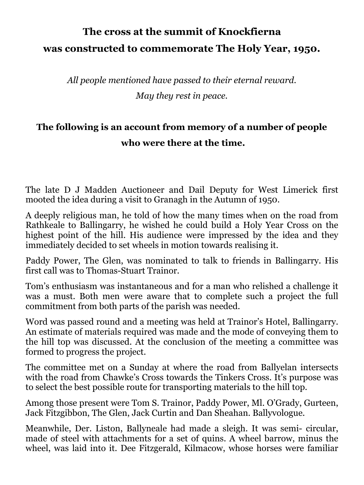## **The cross at the summit of Knockfierna was constructed to commemorate The Holy Year, 1950.**

*All people mentioned have passed to their eternal reward. May they rest in peace.* 

## **The following is an account from memory of a number of people who were there at the time.**

The late D J Madden Auctioneer and Dail Deputy for West Limerick first mooted the idea during a visit to Granagh in the Autumn of 1950.

A deeply religious man, he told of how the many times when on the road from Rathkeale to Ballingarry, he wished he could build a Holy Year Cross on the highest point of the hill. His audience were impressed by the idea and they immediately decided to set wheels in motion towards realising it.

Paddy Power, The Glen, was nominated to talk to friends in Ballingarry. His first call was to Thomas-Stuart Trainor.

Tom's enthusiasm was instantaneous and for a man who relished a challenge it was a must. Both men were aware that to complete such a project the full commitment from both parts of the parish was needed.

Word was passed round and a meeting was held at Trainor's Hotel, Ballingarry. An estimate of materials required was made and the mode of conveying them to the hill top was discussed. At the conclusion of the meeting a committee was formed to progress the project.

The committee met on a Sunday at where the road from Ballyelan intersects with the road from Chawke's Cross towards the Tinkers Cross. It's purpose was to select the best possible route for transporting materials to the hill top.

Among those present were Tom S. Trainor, Paddy Power, Ml. O'Grady, Gurteen, Jack Fitzgibbon, The Glen, Jack Curtin and Dan Sheahan. Ballyvologue.

Meanwhile, Der. Liston, Ballyneale had made a sleigh. It was semi- circular, made of steel with attachments for a set of quins. A wheel barrow, minus the wheel, was laid into it. Dee Fitzgerald, Kilmacow, whose horses were familiar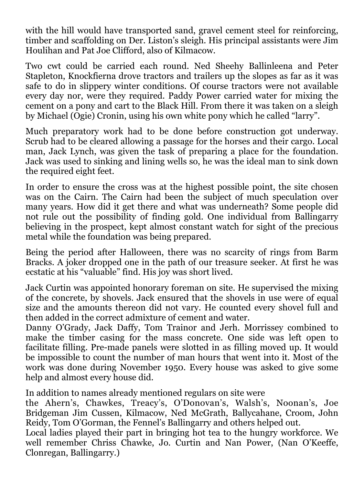with the hill would have transported sand, gravel cement steel for reinforcing, timber and scaffolding on Der. Liston's sleigh. His principal assistants were Jim Houlihan and Pat Joe Clifford, also of Kilmacow.

Two cwt could be carried each round. Ned Sheehy Ballinleena and Peter Stapleton, Knockfierna drove tractors and trailers up the slopes as far as it was safe to do in slippery winter conditions. Of course tractors were not available every day nor, were they required. Paddy Power carried water for mixing the cement on a pony and cart to the Black Hill. From there it was taken on a sleigh by Michael (Ogie) Cronin, using his own white pony which he called "larry".

Much preparatory work had to be done before construction got underway. Scrub had to be cleared allowing a passage for the horses and their cargo. Local man, Jack Lynch, was given the task of preparing a place for the foundation. Jack was used to sinking and lining wells so, he was the ideal man to sink down the required eight feet.

In order to ensure the cross was at the highest possible point, the site chosen was on the Cairn. The Cairn had been the subject of much speculation over many years. How did it get there and what was underneath? Some people did not rule out the possibility of finding gold. One individual from Ballingarry believing in the prospect, kept almost constant watch for sight of the precious metal while the foundation was being prepared.

Being the period after Halloween, there was no scarcity of rings from Barm Bracks. A joker dropped one in the path of our treasure seeker. At first he was ecstatic at his "valuable" find. His joy was short lived.

Jack Curtin was appointed honorary foreman on site. He supervised the mixing of the concrete, by shovels. Jack ensured that the shovels in use were of equal size and the amounts thereon did not vary. He counted every shovel full and then added in the correct admixture of cement and water.

Danny O'Grady, Jack Daffy, Tom Trainor and Jerh. Morrissey combined to make the timber casing for the mass concrete. One side was left open to facilitate filling. Pre-made panels were slotted in as filling moved up. It would be impossible to count the number of man hours that went into it. Most of the work was done during November 1950. Every house was asked to give some help and almost every house did.

In addition to names already mentioned regulars on site were

the Ahern's, Chawkes, Treacy's, O'Donovan's, Walsh's, Noonan's, Joe Bridgeman Jim Cussen, Kilmacow, Ned McGrath, Ballycahane, Croom, John Reidy, Tom O'Gorman, the Fennel's Ballingarry and others helped out.

Local ladies played their part in bringing hot tea to the hungry workforce. We well remember Chriss Chawke, Jo. Curtin and Nan Power, (Nan O'Keeffe, Clonregan, Ballingarry.)